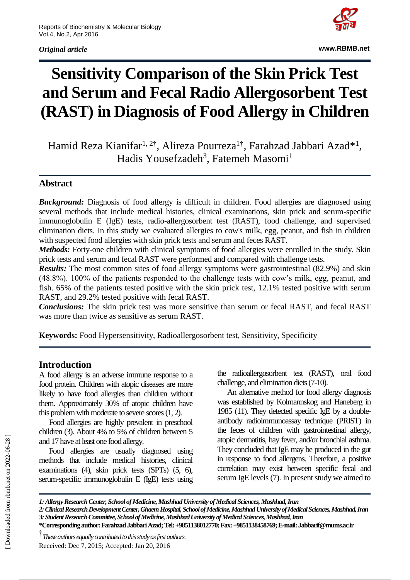*Original article*



**www.RBMB.net**

# **Sensitivity Comparison of the Skin Prick Test and Serum and Fecal Radio Allergosorbent Test (RAST) in Diagnosis of Food Allergy in Children**

Hamid Reza Kianifar<sup>1, 2†</sup>, Alireza Pourreza<sup>1†</sup>, Farahzad Jabbari Azad<sup>\*1</sup>, Hadis Yousefzadeh<sup>3</sup>, Fatemeh Masomi<sup>1</sup>

#### **Abstract**

*Background:* Diagnosis of food allergy is difficult in children. Food allergies are diagnosed using several methods that include medical histories, clinical examinations, skin prick and serum-specific immunoglobulin E (IgE) tests, radio-allergosorbent test (RAST), food challenge, and supervised elimination diets. In this study we evaluated allergies to cow's milk, egg, peanut, and fish in children with suspected food allergies with skin prick tests and serum and feces RAST.

*Methods:* Forty-one children with clinical symptoms of food allergies were enrolled in the study. Skin prick tests and serum and fecal RAST were performed and compared with challenge tests.

*Results:* The most common sites of food allergy symptoms were gastrointestinal (82.9%) and skin (48.8%). 100% of the patients responded to the challenge tests with cow's milk, egg, peanut, and fish. 65% of the patients tested positive with the skin prick test, 12.1% tested positive with serum RAST, and 29.2% tested positive with fecal RAST.

*Conclusions:* The skin prick test was more sensitive than serum or fecal RAST, and fecal RAST was more than twice as sensitive as serum RAST.

**Keywords:** Food Hypersensitivity, Radioallergosorbent test, Sensitivity, Specificity

#### **Introduction**

A food allergy is an adverse immune response to a food protein. Children with atopic diseases are more likely to have food allergies than children without them. Approximately 30% of atopic children have this problem with moderate to severe scores (1, 2).

Food allergies are highly prevalent in preschool children (3). About 4% to 5% of children between 5 and 17 have at least one food allergy.

Food allergies are usually diagnosed using methods that include medical histories, clinical examinations (4), skin prick tests (SPTs) (5, 6), serum-specific immunoglobulin E (IgE) tests using the radioallergosorbent test (RAST), oral food challenge, and elimination diets (7-10).

An alternative method for food allergy diagnosis was established by Kolmannskog and Haneberg in 1985 (11). They detected specific IgE by a doubleantibody radioimmunoassay technique (PRIST) in the feces of children with gastrointestinal allergy, atopic dermatitis, hay fever, and/or bronchial asthma. They concluded that IgE may be produced in the gut in response to food allergens. Therefore, a positive correlation may exist between specific fecal and serum IgE levels (7). In present study we aimed to

† *These authors equally contributed to this study as first authors.* Received: Dec 7, 2015; Accepted: Jan 20, 2016

*<sup>1:</sup> Allergy Research Center, School of Medicine, Mashhad University of MedicalSciences, Mashhad, Iran*

*<sup>2:</sup> Clinical Research Development Center, Ghaem Hospital, School of Medicine, Mashhad University of Medical Sciences, Mashhad, Iran 3:Student Research Committee, School of Medicine, Mashhad University of Medical Sciences, Mashhad, Iran*

**<sup>\*</sup>Corresponding author: Farahzad Jabbari Azad;Tel: +9851138012770; Fax: +9851138458769; E-mail: Jabbarif@mums.ac.ir**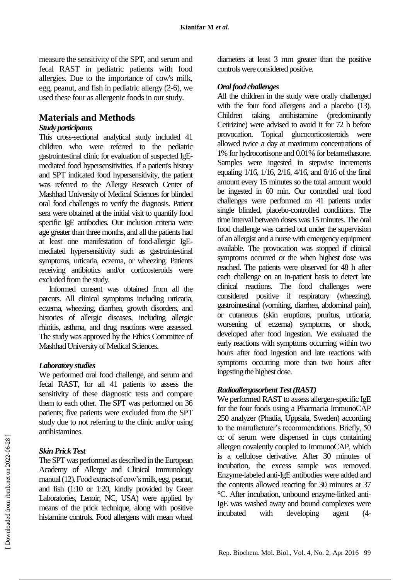measure the sensitivity of the SPT, and serum and fecal RAST in pediatric patients with food allergies. Due to the importance of cow's milk, egg, peanut, and fish in pediatric allergy (2-6), we used these four as allergenic foods in our study.

# **Materials and Methods**

#### *Study participants*

This cross-sectional analytical study included 41 children who were referred to the pediatric gastrointestinal clinic for evaluation of suspected IgEmediated food hypersensitivities. If a patient's history and SPT indicated food hypersensitivity, the patient was referred to the Allergy Research Center of Mashhad University of Medical Sciences for blinded oral food challenges to verify the diagnosis. Patient sera were obtained at the initial visit to quantify food specific IgE antibodies. Our inclusion criteria were age greater than three months, and all the patients had at least one manifestation of food-allergic IgEmediated hypersensitivity such as gastrointestinal symptoms, urticaria, eczema, or wheezing. Patients receiving antibiotics and/or corticosteroids were excluded from the study.

Informed consent was obtained from all the parents. All clinical symptoms including urticaria, eczema, wheezing, diarrhea, growth disorders, and histories of allergic diseases, including allergic rhinitis, asthma, and drug reactions were assessed. The study was approved by the Ethics Committee of Mashhad University of Medical Sciences.

#### *Laboratory studies*

We performed oral food challenge, and serum and fecal RAST, for all 41 patients to assess the sensitivity of these diagnostic tests and compare them to each other. The SPT was performed on 36 patients; five patients were excluded from the SPT study due to not referring to the clinic and/or using antihistamines.

#### *Skin Prick Test*

The SPT was performed as described in the European Academy of Allergy and Clinical Immunology manual (12).Food extracts of cow's milk, egg, peanut, and fish (1:10 or 1:20, kindly provided by Greer Laboratories, Lenoir, NC, USA) were applied by means of the prick technique, along with positive histamine controls. Food allergens with mean wheal

diameters at least 3 mm greater than the positive controls were considered positive.

### *Oral food challenges*

All the children in the study were orally challenged with the four food allergens and a placebo (13). Children taking antihistamine (predominantly Cetirizine) were advised to avoid it for 72 h before provocation. Topical glucocorticosteroids were allowed twice a day at maximum concentrations of 1% for hydrocortisone and 0.01% for betamethasone. Samples were ingested in stepwise increments equaling 1/16, 1/16, 2/16, 4/16, and 8/16 of the final amount every 15 minutes so the total amount would be ingested in 60 min. Our controlled oral food challenges were performed on 41 patients under single blinded, placebo-controlled conditions. The time interval between doses was 15 minutes. The oral food challenge was carried out under the supervision of an allergist and a nurse with emergency equipment available. The provocation was stopped if clinical symptoms occurred or the when highest dose was reached. The patients were observed for 48 h after each challenge on an in-patient basis to detect late clinical reactions. The food challenges were considered positive if respiratory (wheezing), gastrointestinal (vomiting, diarrhea, abdominal pain), or cutaneous (skin eruptions, pruritus, urticaria, worsening of eczema) symptoms, or shock, developed after food ingestion. We evaluated the early reactions with symptoms occurring within two hours after food ingestion and late reactions with symptoms occurring more than two hours after ingesting the highest dose.

#### *Radioallergosorbent Test (RAST)*

We performed RAST to assess allergen-specific IgE for the four foods using a Pharmacia ImmunoCAP 250 analyzer (Phadia, Uppsala, Sweden) according to the manufacturer's recommendations. Briefly, 50 cc of serum were dispensed in cups containing allergen covalently coupled to ImmunoCAP, which is a cellulose derivative. After 30 minutes of incubation, the excess sample was removed. Enzyme-labeled anti-IgE antibodies were added and the contents allowed reacting for 30 minutes at 37 °C. After incubation, unbound enzyme-linked anti-IgE was washed away and bound complexes were incubated with developing agent (4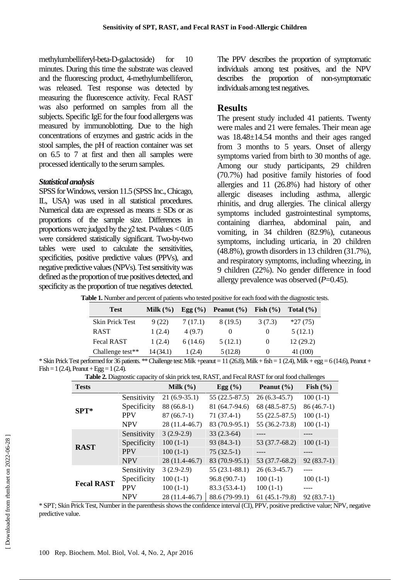methylumbelliferyl-beta-D-galactoside) for 10 minutes. During this time the substrate was cleaved and the fluorescing product, 4-methylumbelliferon, was released. Test response was detected by measuring the fluorescence activity. Fecal RAST was also performed on samples from all the subjects. Specific IgE for the four food allergens was measured by immunoblotting. Due to the high concentrations of enzymes and gastric acids in the stool samples, the pH of reaction container was set on 6.5 to 7 at first and then all samples were processed identically to the serum samples.

#### *Statistical analysis*

SPSS for Windows, version 11.5 (SPSS Inc., Chicago, IL, USA) was used in all statistical procedures. Numerical data are expressed as means  $\pm$  SDs or as proportions of the sample size. Differences in proportions were judged by the  $\chi$ 2 test. P-values < 0.05 were considered statistically significant. Two-by-two tables were used to calculate the sensitivities, specificities, positive predictive values (PPVs), and negative predictive values (NPVs). Test sensitivity was defined as the proportion of true positives detected, and specificity as the proportion of true negatives detected.

The PPV describes the proportion of symptomatic individuals among test positives, and the NPV describes the proportion of non-symptomatic individuals among test negatives.

## **Results**

The present study included 41 patients. Twenty were males and 21 were females. Their mean age was 18.48±14.54 months and their ages ranged from 3 months to 5 years. Onset of allergy symptoms varied from birth to 30 months of age. Among our study participants, 29 children (70.7%) had positive family histories of food allergies and 11 (26.8%) had history of other allergic diseases including asthma, allergic rhinitis, and drug allergies. The clinical allergy symptoms included gastrointestinal symptoms, containing diarrhea, abdominal pain, and vomiting, in 34 children (82.9%), cutaneous symptoms, including urticaria, in 20 children (48.8%), growth disorders in 13 children (31.7%), and respiratory symptoms, including wheezing, in 9 children (22%). No gender difference in food allergy prevalence was observed (*P*=0.45).

|  |  |  |  |  | <b>Table 1.</b> Number and percent of patients who tested positive for each food with the diagnostic tests. |  |
|--|--|--|--|--|-------------------------------------------------------------------------------------------------------------|--|
|  |  |  |  |  |                                                                                                             |  |

| Milk $(\% )$ | Egg $(\% )$ | Peanut $(\% )$ | Fish $(\% )$ | Total $(\% )$ |
|--------------|-------------|----------------|--------------|---------------|
| 9(22)        | 7(17.1)     | 8 (19.5)       | 3(7.3)       | $*27(75)$     |
| 1(2.4)       | 4(9.7)      |                | $\theta$     | 5(12.1)       |
| 1(2.4)       | 6(14.6)     | 5(12.1)        | $\theta$     | 12(29.2)      |
| 14 (34.1)    | 1(2.4)      | 5(12.8)        | $\theta$     | 41 (100)      |
|              |             |                |              |               |

\* Skin Prick Test performed for 36 patients. \*\* Challenge test: Milk +peanut =  $11$  (26.8), Milk + fish = 1 (2.4), Milk + egg = 6 (14.6), Peanut +  $Fish = 1 (2.4)$ , Peanut + Egg = 1 (2.4).

| Table 2. Diagnostic capacity of skin prick test, RAST, and Fecal RAST for oral food challenges |  |
|------------------------------------------------------------------------------------------------|--|
|------------------------------------------------------------------------------------------------|--|

| <b>Tests</b>      |             | Milk $(\% )$   | Egg $(\%)$        | Peanut $(\% )$  | -ס<br>Fish $(\% )$ |
|-------------------|-------------|----------------|-------------------|-----------------|--------------------|
|                   | Sensitivity | $21(6.9-35.1)$ | 55 (22.5-87.5)    | $26(6.3-45.7)$  | $100(1-1)$         |
| $SPT^*$           | Specificity | $88(66.8-1)$   | 81 (64.7-94.6)    | 68 (48.5-87.5)  | $86(46.7-1)$       |
|                   | <b>PPV</b>  | $87(66.7-1)$   | $71(37.4-1)$      | $55(22.5-87.5)$ | $100(1-1)$         |
|                   | <b>NPV</b>  | 28 (11.4-46.7) | 83 (70.9-95.1)    | 55 (36.2-73.8)  | $100(1-1)$         |
|                   | Sensitivity | $3(2.9-2.9)$   | $33(2.3-64)$      |                 |                    |
| <b>RAST</b>       | Specificity | $100(1-1)$     | $93(84.3-1)$      | 53 (37.7-68.2)  | $100(1-1)$         |
|                   | <b>PPV</b>  | $100(1-1)$     | $75(32.5-1)$      |                 |                    |
|                   | <b>NPV</b>  | 28 (11.4-46.7) | 83 (70.9-95.1)    | 53 (37.7-68.2)  | $92(83.7-1)$       |
|                   | Sensitivity | $3(2.9-2.9)$   | $55(23.1 - 88.1)$ | $26(6.3-45.7)$  |                    |
| <b>Fecal RAST</b> | Specificity | $100(1-1)$     | $96.8(90.7-1)$    | $100(1-1)$      | $100(1-1)$         |
|                   | <b>PPV</b>  | $100(1-1)$     | $83.3(53.4-1)$    | $100(1-1)$      |                    |
|                   | <b>NPV</b>  | 28 (11.4-46.7) | 88.6 (79-99.1)    | $61(45.1-79.8)$ | $92(83.7-1)$       |

\* SPT; Skin Prick Test, Number in the parenthesis shows the confidence interval (CI), PPV, positive predictive value; NPV, negative predictive value.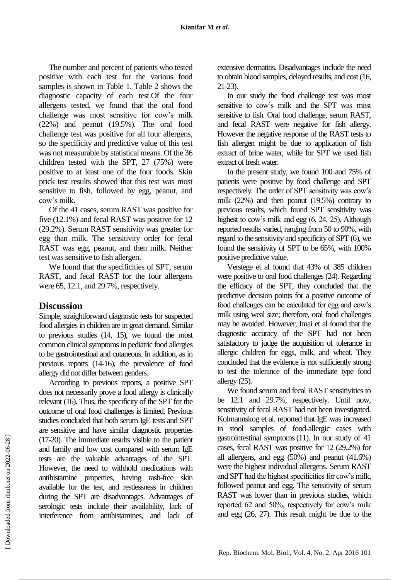The number and percent of patients who tested positive with each test for the various food samples is shown in Table 1. Table 2 shows the diagnostic capacity of each test.Of the four allergens tested, we found that the oral food challenge was most sensitive for cow's milk (22%) and peanut (19.5%). The oral food challenge test was positive for all four allergens, so the specificity and predictive value of this test was not measurable by statistical means. Of the 36 children tested with the SPT, 27 (75%) were positive to at least one of the four foods. Skin prick test results showed that this test was most sensitive to fish, followed by egg, peanut, and cow's milk.

Of the 41 cases, serum RAST was positive for five (12.1%) and fecal RAST was positive for 12 (29.2%). Serum RAST sensitivity was greater for egg than milk. The sensitivity order for fecal RAST was egg, peanut, and then milk. Neither test was sensitive to fish allergen.

We found that the specificities of SPT, serum RAST, and fecal RAST for the four allergens were 65, 12.1, and 29.7%, respectively.

#### **Discussion**

Simple, straightforward diagnostic tests for suspected food allergies in children are in great demand. Similar to previous studies (14, 15), we found the most common clinical symptoms in pediatric food allergies to be gastrointestinal and cutaneous. In addition, as in previous reports (14-16), the prevalence of food allergy did not differ between genders.

According to previous reports, a positive SPT does not necessarily prove a food allergy is clinically relevant (16). Thus, the specificity of the SPT for the outcome of oral food challenges is limited. Previous studies concluded that both serum IgE tests and SPT are sensitive and have similar diagnostic properties (17-20). The immediate results visible to the patient and family and low cost compared with serum IgE tests are the valuable advantages of the SPT. However, the need to withhold medications with antihistamine properties, having rash-free skin available for the test, and restlessness in children during the SPT are disadvantages. Advantages of serologic tests include their availability, lack of interference from antihistamines, and lack of extensive dermatitis. Disadvantages include the need to obtain blood samples, delayed results, and cost (16, 21-23).

In our study the food challenge test was most sensitive to cow's milk and the SPT was most sensitive to fish. Oral food challenge, serum RAST, and fecal RAST were negative for fish allergy. However the negative response of the RAST tests to fish allergen might be due to application of fish extract of brine water, while for SPT we used fish extract of fresh water.

In the present study, we found 100 and 75% of patients were positive by food challenge and SPT respectively. The order of SPT sensitivity was cow's milk (22%) and then peanut (19.5%) contrary to previous results, which found SPT sensitivity was highest to cow's milk and egg (6, 24, 25). Although reported results varied, ranging from 50 to 90%, with regard to the sensitivity and specificity of SPT (6), we found the sensitivity of SPT to be 65%, with 100% positive predictive value.

Verstege et al found that 43% of 385 children were positive to oral food challenges (24). Regarding the efficacy of the SPT, they concluded that the predictive decision points for a positive outcome of food challenges can be calculated for egg and cow's milk using weal size; therefore, oral food challenges may be avoided. However, Imai et al found that the diagnostic accuracy of the SPT had not been satisfactory to judge the acquisition of tolerance in allergic children for eggs, milk, and wheat. They concluded that the evidence is not sufficiently strong to test the tolerance of the immediate type food allergy (25).

We found serum and fecal RAST sensitivities to be 12.1 and 29.7%, respectively. Until now, sensitivity of fecal RAST had not been investigated. Kolmannskog et al. reported that IgE was increased in stool samples of food-allergic cases with gastrointestinal symptoms(11). In our study of 41 cases, fecal RAST was positive for 12 (29.2%) for all allergens, and egg (50%) and peanut (41.6%) were the highest individual allergens. Serum RAST and SPT had the highest specificities for cow's milk, followed peanut and egg. The sensitivity of serum RAST was lower than in previous studies, which reported 62 and 50%, respectively for cow's milk and egg (26, 27). This result might be due to the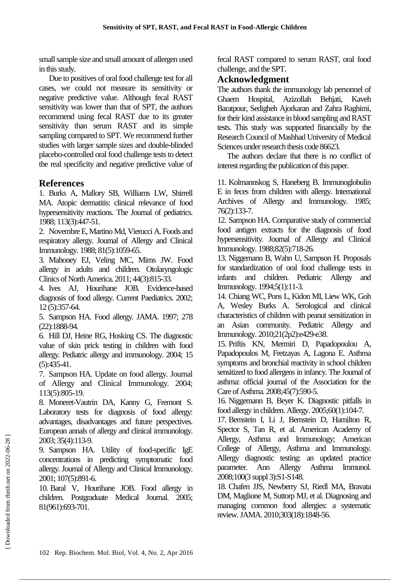small sample size and small amount of allergen used in this study.

Due to positives of oral food challenge test for all cases, we could not measure its sensitivity or negative predictive value. Although fecal RAST sensitivity was lower than that of SPT, the authors recommend using fecal RAST due to its greater sensitivity than serum RAST and its simple sampling compared to SPT. We recommend further studies with larger sample sizes and double-blinded placebo-controlled oral food challenge tests to detect the real specificity and negative predictive value of

## **References**

1. Burks A, Mallory SB, Williams LW, Shirrell MA. Atopic dermatitis: clinical relevance of food hypersensitivity reactions. The Journal of pediatrics. 1988; 113(3):447-51.

2. Novembre E, Martino Md, Vierucci A. Foods and respiratory allergy. Journal of Allergy and Clinical Immunology. 1988; 81(5):1059-65.

3. Mahoney EJ, Veling MC, Mims JW. Food allergy in adults and children. Otolaryngologic Clinics of North America. 2011; 44(3):815-33.

4. Ives AJ, Hourihane JOB. Evidence-based diagnosis of food allergy. Current Paediatrics. 2002; 12 (5):357-64.

5. Sampson HA. Food allergy. JAMA. 1997; 278 (22):1888-94.

6. Hill DJ, Heine RG, Hosking CS. The diagnostic value of skin prick testing in children with food allergy. Pediatric allergy and immunology. 2004; 15 (5):435-41.

7. Sampson HA. Update on food allergy. Journal of Allergy and Clinical Immunology. 2004; 113(5):805-19.

8. Moneret-Vautrin DA, Kanny G, Fremont S. Laboratory tests for diagnosis of food allergy: advantages, disadvantages and future perspectives. European annals of allergy and clinical immunology. 2003; 35(4):113-9.

9. Sampson HA. Utility of food-specific IgE concentrations in predicting symptomatic food allergy. Journal of Allergy and Clinical Immunology. 2001; 107(5):891-6.

10. Baral V, Hourihane JOB. Food allergy in children. Postgraduate Medical Journal. 2005; 81(961):693-701.

fecal RAST compared to serum RAST, oral food challenge, and the SPT.

## **Acknowledgment**

The authors thank the immunology lab personnel of Ghaem Hospital, Azizollah Behjati, Kaveh Baratpour, Sedigheh Ajorkaran and Zahra Raghimi, for their kind assistance in blood sampling and RAST tests. This study was supported financially by the Research Council of Mashhad University of Medical Sciences under research thesis code 86623.

The authors declare that there is no conflict of interest regarding the publication of this paper.

11. Kolmannskog S, Haneberg B. Immunoglobulin E in feces from children with allergy. International Archives of Allergy and Immunology. 1985; 76(2):133-7.

12. Sampson HA. Comparative study of commercial food antigen extracts for the diagnosis of food hypersensitivity. Journal of Allergy and Clinical Immunology. 1988;82(5):718-26.

13. Niggemann B, Wahn U, Sampson H. Proposals for standardization of oral food challenge tests in infants and children. Pediatric Allergy and Immunology. 1994;5(1):11-3.

14. Chiang WC, Pons L, Kidon MI, Liew WK, Goh A, Wesley Burks A. Serological and clinical characteristics of children with peanut sensitization in an Asian community. Pediatric Allergy and Immunology. 2010;21(2p2):e429-e38.

15. Priftis KN, Mermiri D, Papadopoulou A, Papadopoulos M, Fretzayas A, Lagona E. Asthma symptoms and bronchial reactivity in school children sensitized to food allergens in infancy. The Journal of asthma: official journal of the Association for the Care of Asthma. 2008;45(7):590-5.

16. Niggemann B, Beyer K. Diagnostic pitfalls in food allergy in children. Allergy. 2005;60(1):104-7.

17. Bernstein I, Li J, Bernstein D, Hamilton R, Spector S, Tan R, et al. American Academy of Allergy, Asthma and Immunology; American College of Allergy, Asthma and Immunology. Allergy diagnostic testing: an updated practice parameter. Ann Allergy Asthma Immunol. 2008;100(3 suppl 3):S1-S148.

18. Chafen JJS, Newberry SJ, Riedl MA, Bravata DM, Maglione M, Suttorp MJ, et al. Diagnosing and managing common food allergies: a systematic review. JAMA. 2010;303(18):1848-56.